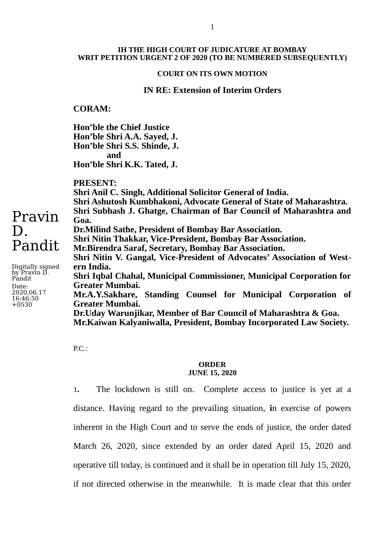### **COURT ON ITS OWN MOTION**

## **IN RE: Extension of Interim Orders**

### **CORAM:**

**Hon'ble the Chief Justice Hon'ble Shri A.A. Sayed, J. Hon'ble Shri S.S. Shinde, J. and Hon'ble Shri K.K. Tated, J.**

**PRESENT:**

**Shri Anil C. Singh, Additional Solicitor General of India. Shri Ashutosh Kumbhakoni, Advocate General of State of Maharashtra. Shri Subhash J. Ghatge, Chairman of Bar Council of Maharashtra and Goa. Dr.Milind Sathe, President of Bombay Bar Association. Shri Nitin Thakkar, Vice-President, Bombay Bar Association. Mr.Birendra Saraf, Secretary, Bombay Bar Association. Shri Nitin V. Gangal, Vice-President of Advocates' Association of Western India. Shri Iqbal Chahal, Municipal Commissioner, Municipal Corporation for Greater Mumbai. Mr.A.Y.Sakhare, Standing Counsel for Municipal Corporation of Greater Mumbai. Dr.Uday Warunjikar, Member of Bar Council of Maharashtra & Goa. Mr.Kaiwan Kalyaniwalla, President, Bombay Incorporated Law Society.**

 $P.C.:$ 

#### **ORDER JUNE 15, 2020**

1**.** The lockdown is still on. Complete access to justice is yet at a distance. Having regard to the prevailing situation, **i**n exercise of powers inherent in the High Court and to serve the ends of justice, the order dated March 26, 2020, since extended by an order dated April 15, 2020 and operative till today, is continued and it shall be in operation till July 15, 2020, if not directed otherwise in the meanwhile. It is made clear that this order

# Pravin D. Pandit

Digitally signed by Pravin D. Pandit Date: 2020.06.17 16:46:50  $+0530$